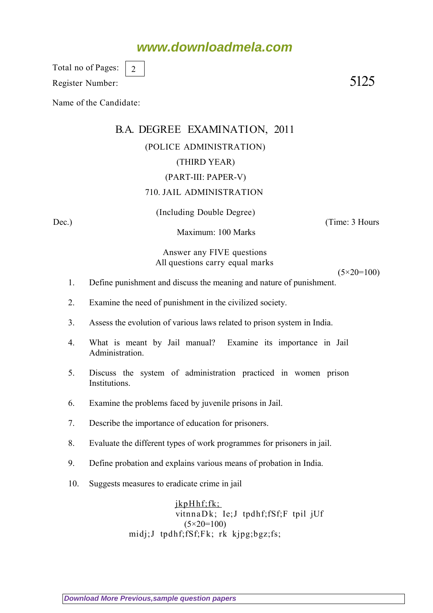## **www.downloadmela.com**

Total no of Pages: 2

Register Number: 5125

Name of the Candidate:

# B.A. DEGREE EXAMINATION, 2011

## (POLICE ADMINISTRATION)

### (THIRD YEAR)

#### (PART-III: PAPER-V)

#### 710. JAIL ADMINISTRATION

(Including Double Degree)

Maximum: 100 Marks

Dec.) (Time: 3 Hours

Answer any FIVE questions All questions carry equal marks

 $(5 \times 20 = 100)$ 

- 1. Define punishment and discuss the meaning and nature of punishment.
- 2. Examine the need of punishment in the civilized society.
- 3. Assess the evolution of various laws related to prison system in India.
- 4. What is meant by Jail manual? Examine its importance in Jail Administration.
- 5. Discuss the system of administration practiced in women prison Institutions.
- 6. Examine the problems faced by juvenile prisons in Jail.
- 7. Describe the importance of education for prisoners.
- 8. Evaluate the different types of work programmes for prisoners in jail.
- 9. Define probation and explains various means of probation in India.
- 10. Suggests measures to eradicate crime in jail

jkpHhf;fk; vitnnaDk; Ie;J tpdhf;fSf;F tpil jUf (5*×20=100)* midj;J tpdhf;fSf;Fk; rk kjpg;bgz;fs;

**[Download More Previous,sample question papers](http://downloadmela.com/pages/previouspapers/previouspapers.html)**